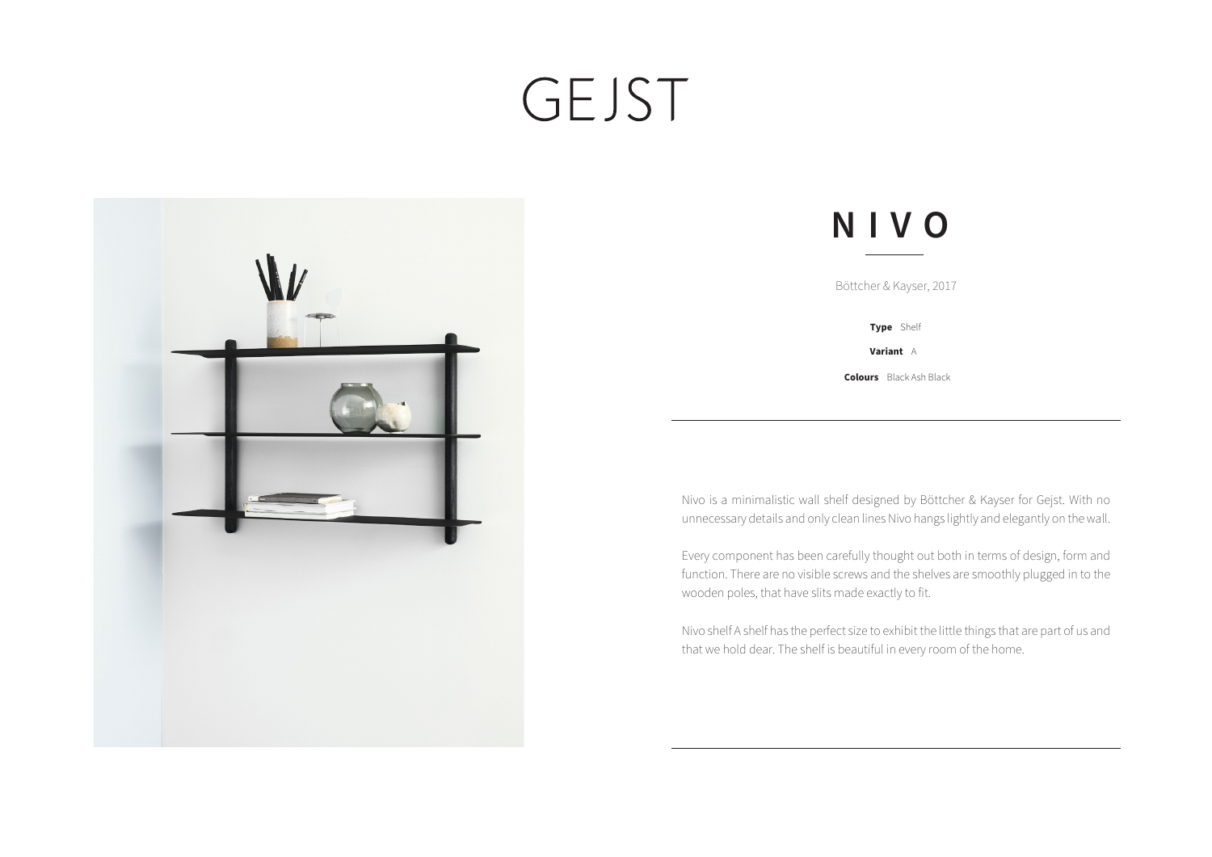## GEJST



## **NIVO**

Böttcher & Kayser, 2017

**Type** Shelf

**Variant** A

**Colours** Black Ash Black

Nivo is a minimalistic wall shelf designed by Böttcher & Kayser for Gejst. With no unnecessary details and only clean lines Nivo hangs lightly and elegantly on the wall.

Every component has been carefully thought out both in terms of design, form and function. There are no visible screws and the shelves are smoothly plugged in to the wooden poles, that have slits made exactly to fit.

Nivo shelf A shelf has the perfect size to exhibit the little things that are part of us and that we hold dear. The shelf is beautiful in every room of the home.